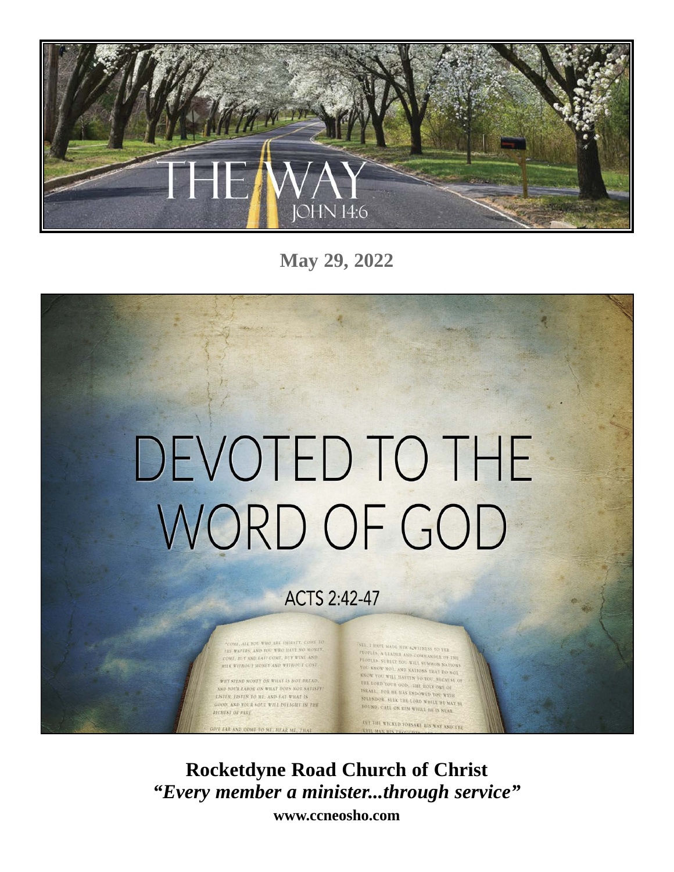

**May 29, 2022**

# DEVOTED TO THE WORD OF GOD

## **ACTS 2:42-47**

IE, ALL YOU WHO ARE THIRSTY, COME TO THE WATERS, AND YOU WHO HAVE NO MONEY.<br>YOME, HUY AND EAT! COME, HUY WINE AND **HILK WITHOUT MONEY AND WITHOUT COST.** 

WHY SPEND MONEY ON WHAT IS NOT DREAD AND YOU'R LABOR ON WHAT DOES NOT SATISFY! LISTEN, LISTEN TO ME, AND EAT WHAT IS GOOD, AND YOUR SOUL WILL DELIGHT IN THE RICHEST OF FARE

VE EAR AND COME TO ME, HEAR ME, THAT

SEE, I HAVE MADE HIM A WITNESS TO THE **SEE FRACE MADE BIM AARTISELS TO THE POPERS, A LEADER ARD COMMAKDER OF THE PEOPLES SURFACE YOU WILL SUMMON NATIONS**<br>PROPLES SURFACT YOU WILL SUMMON NATIONS<br>YOU KNOW NOT, AND NATIONS ITAT DO NOT TOU KNOW NOT, AND NATIONS THAT DO NOT KNOW YOU WILL HASTEN TO YOU, BLCAUSE OF THE LORD YOUR GOD. THE HOUY ONE OF *ISRALL, FOR HE HAS ENDOWED YOU WITH SEALL, FOR HE HAS ENDOWED YOU WITH THE MAY BE***<br>SPLENDOR, SEEK THE LORD WHILE HE MAY BE** FOUND, CALL ON HIM WHILE HE IS NEAR. TEL THE WICKED FORSAKE BIS WAY AND THE

**Rocketdyne Road Church of Christ** *"Every member a minister...through service"* **www.ccneosho.com**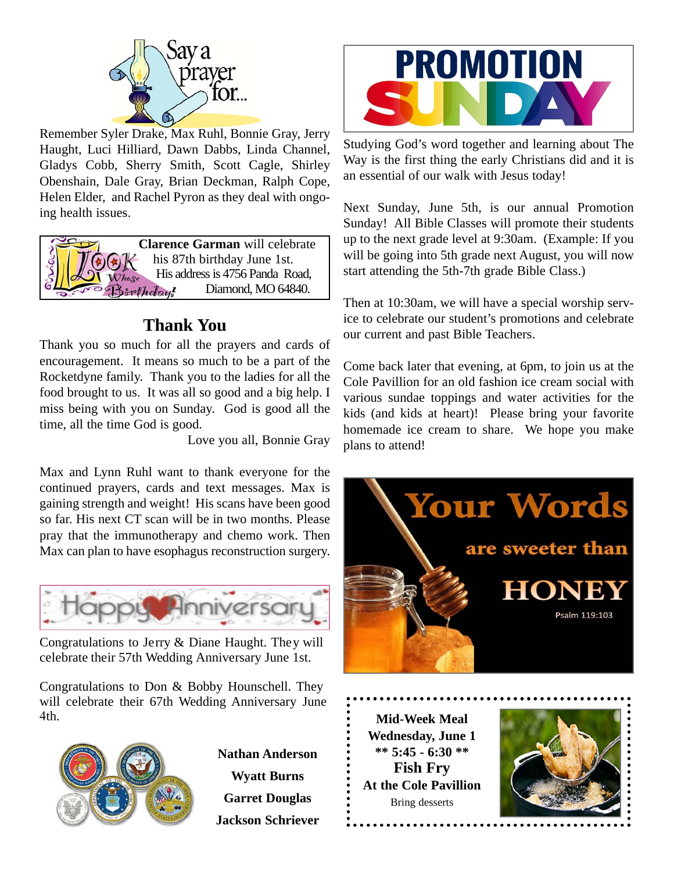

Remember Syler Drake, Max Ruhl, Bonnie Gray, Jerry Haught, Luci Hilliard, Dawn Dabbs, Linda Channel, Gladys Cobb, Sherry Smith, Scott Cagle, Shirley Obenshain, Dale Gray, Brian Deckman, Ralph Cope, Helen Elder, and Rachel Pyron as they deal with ongoing health issues.

**Clarence Garman** will celebrate his 87th birthday June 1st. His address is 4756 Panda Road, Birthday! Diamond, MO 64840.

## **Thank You**

Thank you so much for all the prayers and cards of encouragement. It means so much to be a part of the Rocketdyne family. Thank you to the ladies for all the food brought to us. It was all so good and a big help. I miss being with you on Sunday. God is good all the time, all the time God is good.

Love you all, Bonnie Gray

Max and Lynn Ruhl want to thank everyone for the continued prayers, cards and text messages. Max is gaining strength and weight! His scans have been good so far. His next CT scan will be in two months. Please pray that the immunotherapy and chemo work. Then Max can plan to have esophagus reconstruction surgery.



Congratulations to Jerry & Diane Haught. They will celebrate their 57th Wedding Anniversary June 1st.

Congratulations to Don & Bobby Hounschell. They will celebrate their 67th Wedding Anniversary June 4th.



**Nathan Anderson Wyatt Burns Garret Douglas Jackson Schriever**



Studying God's word together and learning about The Way is the first thing the early Christians did and it is an essential of our walk with Jesus today!

Next Sunday, June 5th, is our annual Promotion Sunday! All Bible Classes will promote their students up to the next grade level at 9:30am. (Example: If you will be going into 5th grade next August, you will now start attending the 5th-7th grade Bible Class.)

Then at 10:30am, we will have a special worship service to celebrate our student's promotions and celebrate our current and past Bible Teachers.

Come back later that evening, at 6pm, to join us at the Cole Pavillion for an old fashion ice cream social with various sundae toppings and water activities for the kids (and kids at heart)! Please bring your favorite homemade ice cream to share. We hope you make plans to attend!



**Mid-Week Meal Wednesday, June 1 \*\* 5:45 - 6:30 \*\* Fish Fry At the Cole Pavillion** Bring desserts

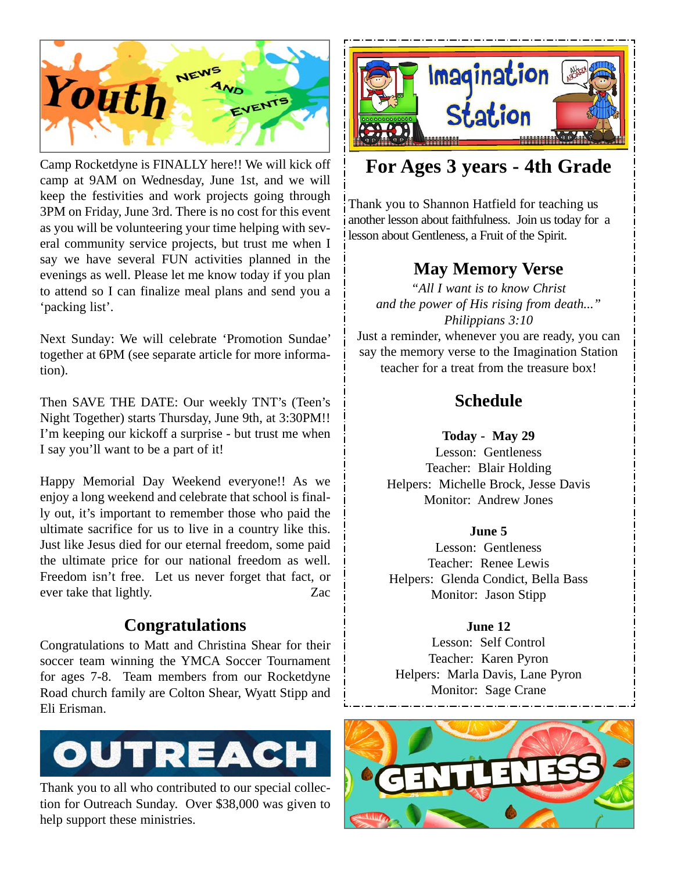

Camp Rocketdyne is FINALLY here!! We will kick off camp at 9AM on Wednesday, June 1st, and we will keep the festivities and work projects going through 3PM on Friday, June 3rd. There is no cost for this event as you will be volunteering your time helping with several community service projects, but trust me when I say we have several FUN activities planned in the evenings as well. Please let me know today if you plan to attend so I can finalize meal plans and send you a 'packing list'.

Next Sunday: We will celebrate 'Promotion Sundae' together at 6PM (see separate article for more information).

Then SAVE THE DATE: Our weekly TNT's (Teen's Night Together) starts Thursday, June 9th, at 3:30PM!! I'm keeping our kickoff a surprise - but trust me when I say you'll want to be a part of it!

Happy Memorial Day Weekend everyone!! As we enjoy a long weekend and celebrate that school is finally out, it's important to remember those who paid the ultimate sacrifice for us to live in a country like this. Just like Jesus died for our eternal freedom, some paid the ultimate price for our national freedom as well. Freedom isn't free. Let us never forget that fact, or ever take that lightly. Zac

### **Congratulations**

Congratulations to Matt and Christina Shear for their soccer team winning the YMCA Soccer Tournament for ages 7-8. Team members from our Rocketdyne Road church family are Colton Shear, Wyatt Stipp and Eli Erisman.



Thank you to all who contributed to our special collection for Outreach Sunday. Over \$38,000 was given to help support these ministries.



## **For Ages 3 years - 4th Grade**

Thank you to Shannon Hatfield for teaching us another lesson about faithfulness. Join us today for a lesson about Gentleness, a Fruit of the Spirit.

## **May Memory Verse**

*"All I want is to know Christ and the power of His rising from death..." Philippians 3:10* Just a reminder, whenever you are ready, you can

say the memory verse to the Imagination Station teacher for a treat from the treasure box!

## **Schedule**

#### **Today - May 29**

Lesson: Gentleness Teacher: Blair Holding Helpers: Michelle Brock, Jesse Davis Monitor: Andrew Jones

#### **June 5**

Lesson: Gentleness Teacher: Renee Lewis Helpers: Glenda Condict, Bella Bass Monitor: Jason Stipp

#### **June 12**

Lesson: Self Control Teacher: Karen Pyron Helpers: Marla Davis, Lane Pyron Monitor: Sage Crane